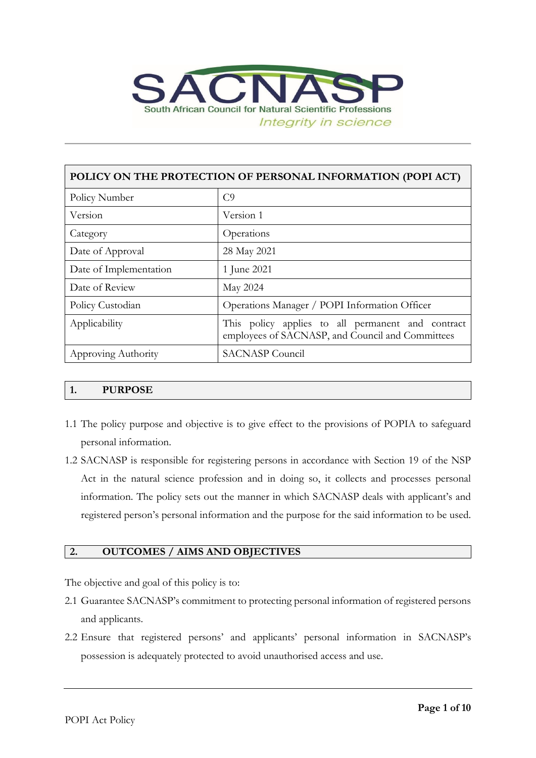

| POLICY ON THE PROTECTION OF PERSONAL INFORMATION (POPI ACT) |                                                                                                       |  |  |
|-------------------------------------------------------------|-------------------------------------------------------------------------------------------------------|--|--|
| Policy Number                                               | C <sub>9</sub>                                                                                        |  |  |
| Version                                                     | Version 1                                                                                             |  |  |
| Category                                                    | Operations                                                                                            |  |  |
| Date of Approval                                            | 28 May 2021                                                                                           |  |  |
| Date of Implementation                                      | 1 June 2021                                                                                           |  |  |
| Date of Review                                              | May 2024                                                                                              |  |  |
| Policy Custodian                                            | Operations Manager / POPI Information Officer                                                         |  |  |
| Applicability                                               | This policy applies to all permanent and contract<br>employees of SACNASP, and Council and Committees |  |  |
| Approving Authority                                         | <b>SACNASP</b> Council                                                                                |  |  |

### **1. PURPOSE**

- 1.1 The policy purpose and objective is to give effect to the provisions of POPIA to safeguard personal information.
- 1.2 SACNASP is responsible for registering persons in accordance with Section 19 of the NSP Act in the natural science profession and in doing so, it collects and processes personal information. The policy sets out the manner in which SACNASP deals with applicant's and registered person's personal information and the purpose for the said information to be used.

### **2. OUTCOMES / AIMS AND OBJECTIVES**

The objective and goal of this policy is to:

- 2.1 Guarantee SACNASP's commitment to protecting personal information of registered persons and applicants.
- 2.2 Ensure that registered persons' and applicants' personal information in SACNASP's possession is adequately protected to avoid unauthorised access and use.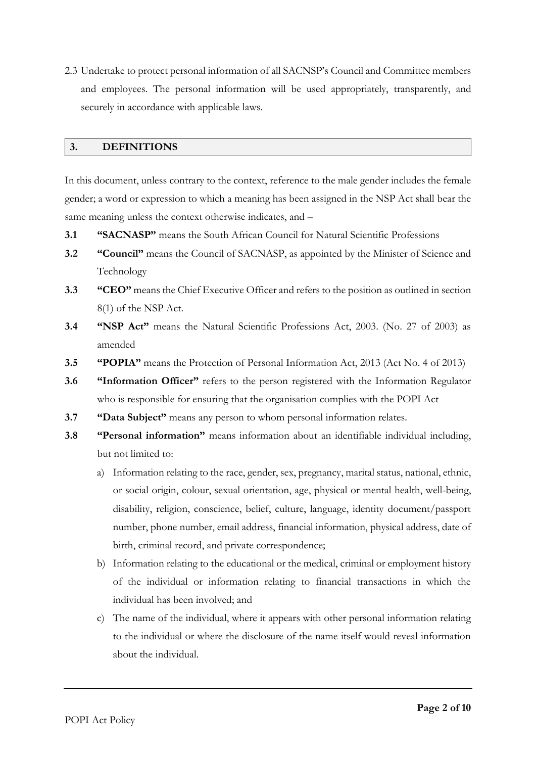2.3 Undertake to protect personal information of all SACNSP's Council and Committee members and employees. The personal information will be used appropriately, transparently, and securely in accordance with applicable laws.

#### **3. DEFINITIONS**

In this document, unless contrary to the context, reference to the male gender includes the female gender; a word or expression to which a meaning has been assigned in the NSP Act shall bear the same meaning unless the context otherwise indicates, and –

- **3.1 "SACNASP"** means the South African Council for Natural Scientific Professions
- **3.2 "Council"** means the Council of SACNASP, as appointed by the Minister of Science and Technology
- **3.3 "CEO"** means the Chief Executive Officer and refers to the position as outlined in section 8(1) of the NSP Act.
- **3.4 "NSP Act"** means the Natural Scientific Professions Act, 2003. (No. 27 of 2003) as amended
- **3.5 "POPIA"** means the Protection of Personal Information Act, 2013 (Act No. 4 of 2013)
- **3.6 "Information Officer"** refers to the person registered with the Information Regulator who is responsible for ensuring that the organisation complies with the POPI Act
- **3.7 "Data Subject"** means any person to whom personal information relates.
- **3.8 "Personal information"** means information about an identifiable individual including, but not limited to:
	- a) Information relating to the race, gender, sex, pregnancy, marital status, national, ethnic, or social origin, colour, sexual orientation, age, physical or mental health, well-being, disability, religion, conscience, belief, culture, language, identity document/passport number, phone number, email address, financial information, physical address, date of birth, criminal record, and private correspondence;
	- b) Information relating to the educational or the medical, criminal or employment history of the individual or information relating to financial transactions in which the individual has been involved; and
	- c) The name of the individual, where it appears with other personal information relating to the individual or where the disclosure of the name itself would reveal information about the individual.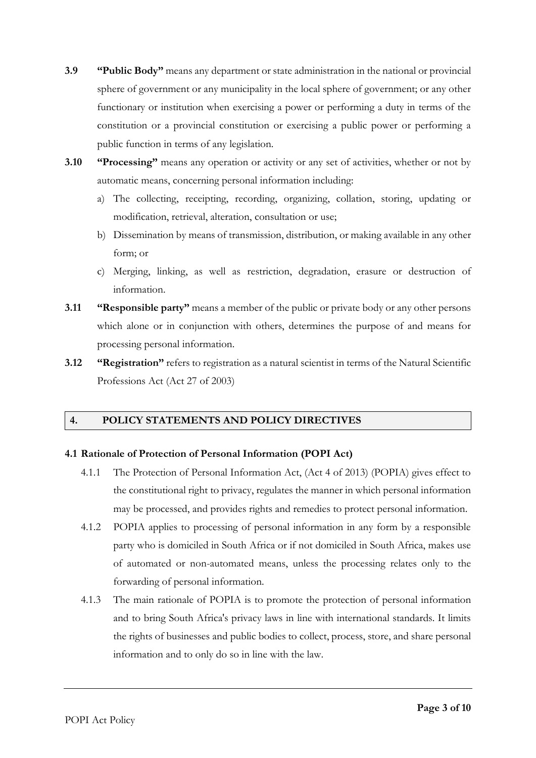- **3.9 "Public Body"** means any department or state administration in the national or provincial sphere of government or any municipality in the local sphere of government; or any other functionary or institution when exercising a power or performing a duty in terms of the constitution or a provincial constitution or exercising a public power or performing a public function in terms of any legislation.
- **3.10 "Processing"** means any operation or activity or any set of activities, whether or not by automatic means, concerning personal information including:
	- a) The collecting, receipting, recording, organizing, collation, storing, updating or modification, retrieval, alteration, consultation or use;
	- b) Dissemination by means of transmission, distribution, or making available in any other form; or
	- c) Merging, linking, as well as restriction, degradation, erasure or destruction of information.
- **3.11 "Responsible party"** means a member of the public or private body or any other persons which alone or in conjunction with others, determines the purpose of and means for processing personal information.
- **3.12 "Registration"** refers to registration as a natural scientist in terms of the Natural Scientific Professions Act (Act 27 of 2003)

## **4. POLICY STATEMENTS AND POLICY DIRECTIVES**

## **4.1 Rationale of Protection of Personal Information (POPI Act)**

- 4.1.1 The Protection of Personal Information Act, (Act 4 of 2013) (POPIA) gives effect to the constitutional right to privacy, regulates the manner in which personal information may be processed, and provides rights and remedies to protect personal information.
- 4.1.2 POPIA applies to processing of personal information in any form by a responsible party who is domiciled in South Africa or if not domiciled in South Africa, makes use of automated or non-automated means, unless the processing relates only to the forwarding of personal information.
- 4.1.3 The main rationale of POPIA is to promote the protection of personal information and to bring South Africa's privacy laws in line with international standards. It limits the rights of businesses and public bodies to collect, process, store, and share personal information and to only do so in line with the law.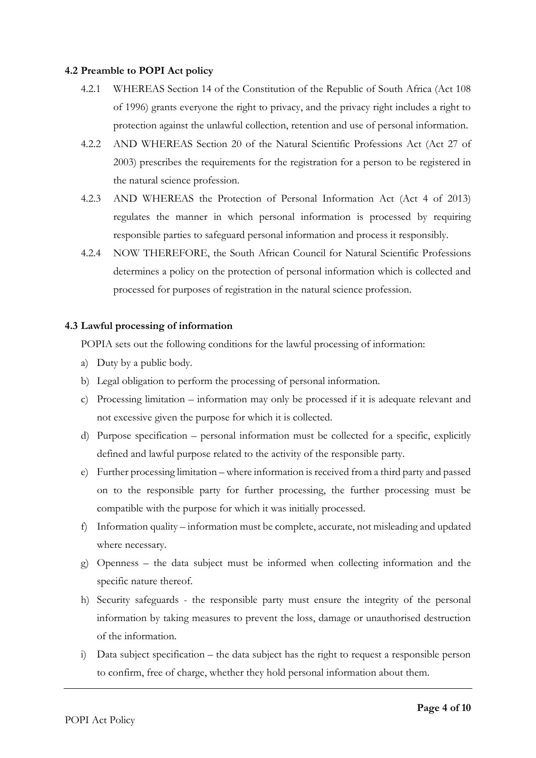#### **4.2 Preamble to POPI Act policy**

- 4.2.1 WHEREAS Section 14 of the Constitution of the Republic of South Africa (Act 108 of 1996) grants everyone the right to privacy, and the privacy right includes a right to protection against the unlawful collection, retention and use of personal information.
- 4.2.2 AND WHEREAS Section 20 of the Natural Scientific Professions Act (Act 27 of 2003) prescribes the requirements for the registration for a person to be registered in the natural science profession.
- 4.2.3 AND WHEREAS the Protection of Personal Information Act (Act 4 of 2013) regulates the manner in which personal information is processed by requiring responsible parties to safeguard personal information and process it responsibly.
- 4.2.4 NOW THEREFORE, the South African Council for Natural Scientific Professions determines a policy on the protection of personal information which is collected and processed for purposes of registration in the natural science profession.

### **4.3 Lawful processing of information**

POPIA sets out the following conditions for the lawful processing of information:

- a) Duty by a public body.
- b) Legal obligation to perform the processing of personal information.
- c) Processing limitation information may only be processed if it is adequate relevant and not excessive given the purpose for which it is collected.
- d) Purpose specification personal information must be collected for a specific, explicitly defined and lawful purpose related to the activity of the responsible party.
- e) Further processing limitation where information is received from a third party and passed on to the responsible party for further processing, the further processing must be compatible with the purpose for which it was initially processed.
- f) Information quality information must be complete, accurate, not misleading and updated where necessary.
- g) Openness the data subject must be informed when collecting information and the specific nature thereof.
- h) Security safeguards the responsible party must ensure the integrity of the personal information by taking measures to prevent the loss, damage or unauthorised destruction of the information.
- i) Data subject specification the data subject has the right to request a responsible person to confirm, free of charge, whether they hold personal information about them.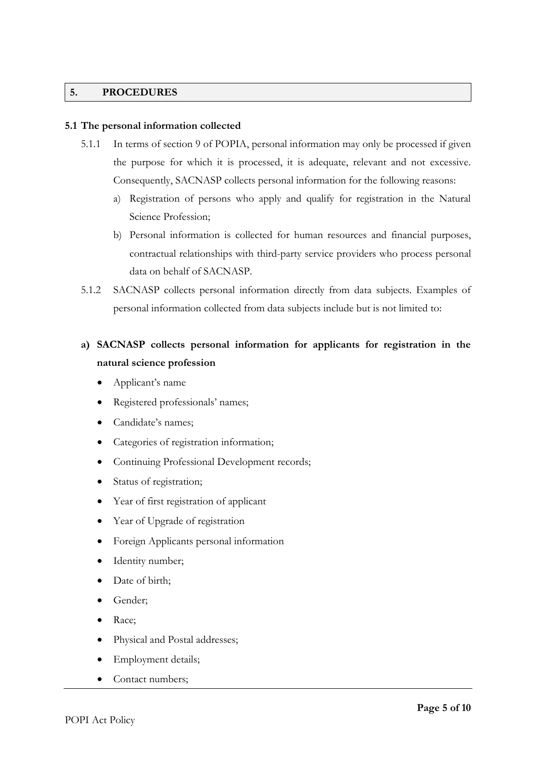#### **5. PROCEDURES**

#### **5.1 The personal information collected**

- 5.1.1 In terms of section 9 of POPIA, personal information may only be processed if given the purpose for which it is processed, it is adequate, relevant and not excessive. Consequently, SACNASP collects personal information for the following reasons:
	- a) Registration of persons who apply and qualify for registration in the Natural Science Profession;
	- b) Personal information is collected for human resources and financial purposes, contractual relationships with third-party service providers who process personal data on behalf of SACNASP.
- 5.1.2 SACNASP collects personal information directly from data subjects. Examples of personal information collected from data subjects include but is not limited to:

# **a) SACNASP collects personal information for applicants for registration in the natural science profession**

- Applicant's name
- Registered professionals' names;
- Candidate's names;
- Categories of registration information;
- Continuing Professional Development records;
- Status of registration;
- Year of first registration of applicant
- Year of Upgrade of registration
- Foreign Applicants personal information
- Identity number;
- Date of birth;
- Gender;
- Race;
- Physical and Postal addresses;
- Employment details;
- Contact numbers;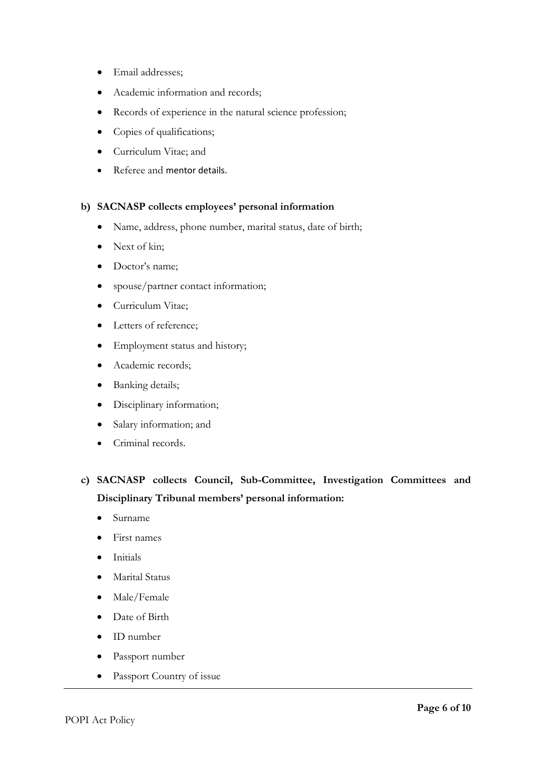- Email addresses;
- Academic information and records;
- Records of experience in the natural science profession;
- Copies of qualifications;
- Curriculum Vitae; and
- Referee and mentor details.

### **b) SACNASP collects employees' personal information**

- Name, address, phone number, marital status, date of birth;
- Next of kin;
- Doctor's name:
- spouse/partner contact information;
- Curriculum Vitae;
- Letters of reference;
- Employment status and history;
- Academic records;
- Banking details;
- Disciplinary information;
- Salary information; and
- Criminal records.
- **c) SACNASP collects Council, Sub-Committee, Investigation Committees and Disciplinary Tribunal members' personal information:**
	- Surname
	- First names
	- Initials
	- Marital Status
	- Male/Female
	- Date of Birth
	- ID number
	- Passport number
	- Passport Country of issue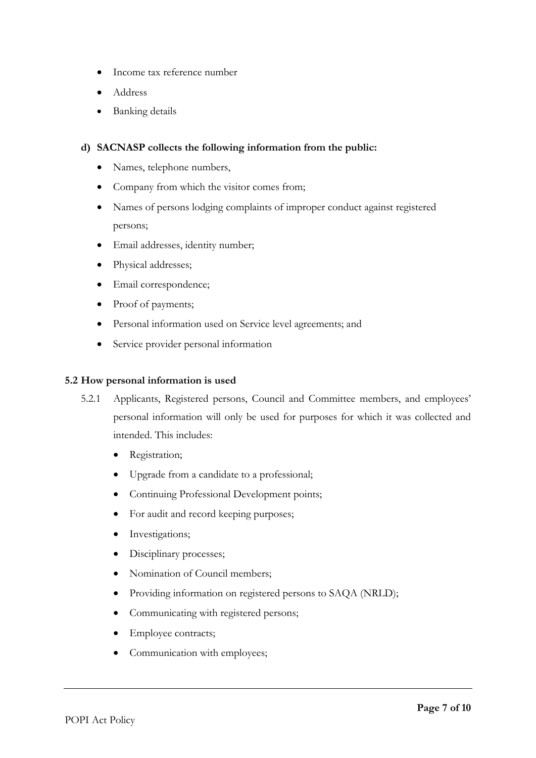- Income tax reference number
- Address
- Banking details

### **d) SACNASP collects the following information from the public:**

- Names, telephone numbers,
- Company from which the visitor comes from;
- Names of persons lodging complaints of improper conduct against registered persons;
- Email addresses, identity number;
- Physical addresses;
- Email correspondence;
- Proof of payments;
- Personal information used on Service level agreements; and
- Service provider personal information

#### **5.2 How personal information is used**

- 5.2.1 Applicants, Registered persons, Council and Committee members, and employees' personal information will only be used for purposes for which it was collected and intended. This includes:
	- Registration;
	- Upgrade from a candidate to a professional;
	- Continuing Professional Development points;
	- For audit and record keeping purposes;
	- Investigations;
	- Disciplinary processes;
	- Nomination of Council members;
	- Providing information on registered persons to SAQA (NRLD);
	- Communicating with registered persons;
	- Employee contracts;
	- Communication with employees;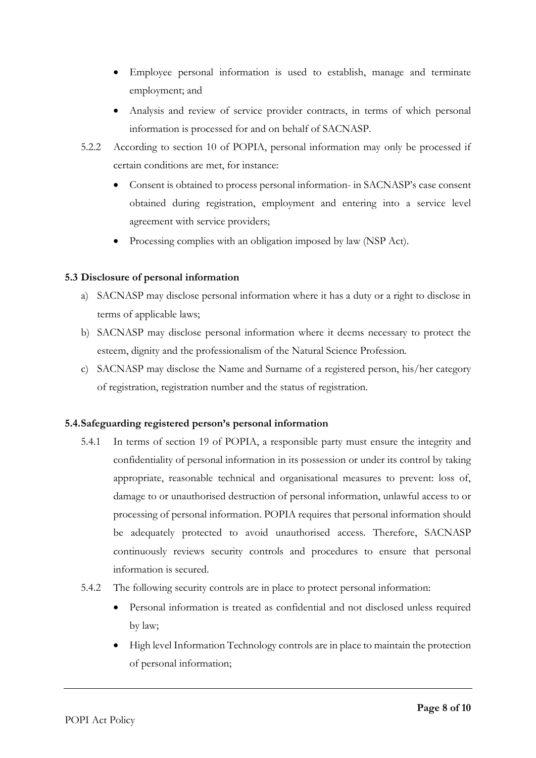- Employee personal information is used to establish, manage and terminate employment; and
- Analysis and review of service provider contracts, in terms of which personal information is processed for and on behalf of SACNASP.
- 5.2.2 According to section 10 of POPIA, personal information may only be processed if certain conditions are met, for instance:
	- Consent is obtained to process personal information- in SACNASP's case consent obtained during registration, employment and entering into a service level agreement with service providers;
	- Processing complies with an obligation imposed by law (NSP Act).

## **5.3 Disclosure of personal information**

- a) SACNASP may disclose personal information where it has a duty or a right to disclose in terms of applicable laws;
- b) SACNASP may disclose personal information where it deems necessary to protect the esteem, dignity and the professionalism of the Natural Science Profession.
- c) SACNASP may disclose the Name and Surname of a registered person, his/her category of registration, registration number and the status of registration.

### **5.4.Safeguarding registered person's personal information**

- 5.4.1 In terms of section 19 of POPIA, a responsible party must ensure the integrity and confidentiality of personal information in its possession or under its control by taking appropriate, reasonable technical and organisational measures to prevent: loss of, damage to or unauthorised destruction of personal information, unlawful access to or processing of personal information. POPIA requires that personal information should be adequately protected to avoid unauthorised access. Therefore, SACNASP continuously reviews security controls and procedures to ensure that personal information is secured.
- 5.4.2 The following security controls are in place to protect personal information:
	- Personal information is treated as confidential and not disclosed unless required by law;
	- High level Information Technology controls are in place to maintain the protection of personal information;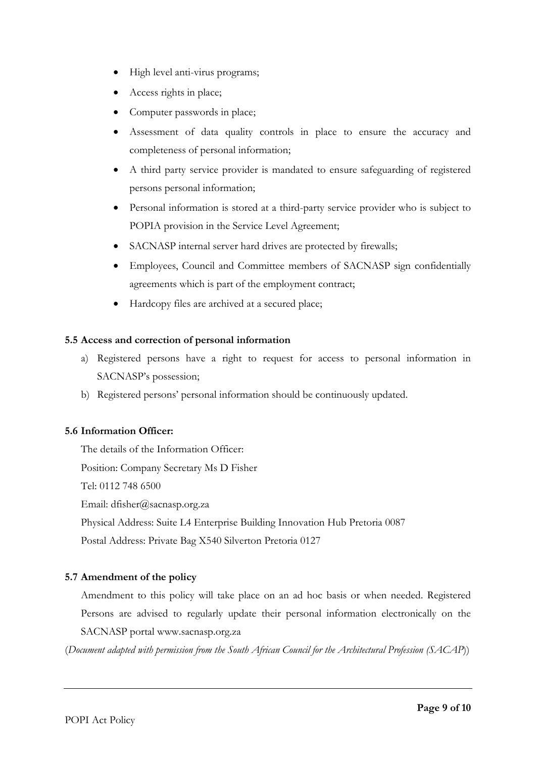- High level anti-virus programs;
- Access rights in place;
- Computer passwords in place;
- Assessment of data quality controls in place to ensure the accuracy and completeness of personal information;
- A third party service provider is mandated to ensure safeguarding of registered persons personal information;
- Personal information is stored at a third-party service provider who is subject to POPIA provision in the Service Level Agreement;
- SACNASP internal server hard drives are protected by firewalls;
- Employees, Council and Committee members of SACNASP sign confidentially agreements which is part of the employment contract;
- Hardcopy files are archived at a secured place;

### **5.5 Access and correction of personal information**

- a) Registered persons have a right to request for access to personal information in SACNASP's possession;
- b) Registered persons' personal information should be continuously updated.

### **5.6 Information Officer:**

The details of the Information Officer: Position: Company Secretary Ms D Fisher Tel: 0112 748 6500 Email: dfisher@sacnasp.org.za Physical Address: Suite L4 Enterprise Building Innovation Hub Pretoria 0087 Postal Address: Private Bag X540 Silverton Pretoria 0127

## **5.7 Amendment of the policy**

Amendment to this policy will take place on an ad hoc basis or when needed. Registered Persons are advised to regularly update their personal information electronically on the SACNASP portal www.sacnasp.org.za

(*Document adapted with permission from the South African Council for the Architectural Profession (SACAP*))